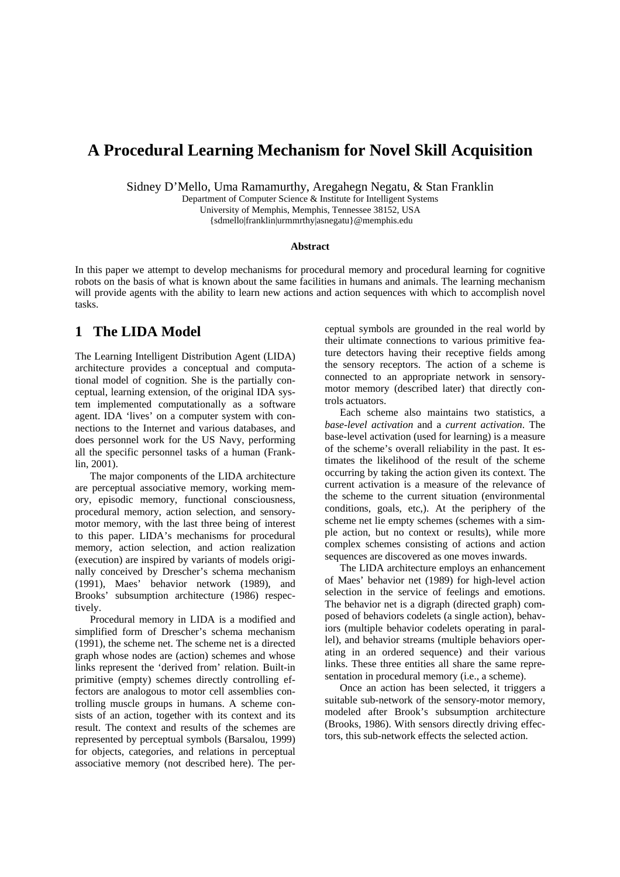# **A Procedural Learning Mechanism for Novel Skill Acquisition**

Sidney D'Mello, Uma Ramamurthy, Aregahegn Negatu, & Stan Franklin

Department of Computer Science & Institute for Intelligent Systems University of Memphis, Memphis, Tennessee 38152, USA {sdmello|franklin|urmmrthy|asnegatu}@memphis.edu

#### **Abstract**

In this paper we attempt to develop mechanisms for procedural memory and procedural learning for cognitive robots on the basis of what is known about the same facilities in humans and animals. The learning mechanism will provide agents with the ability to learn new actions and action sequences with which to accomplish novel tasks.

#### **1 The LIDA Model**

The Learning Intelligent Distribution Agent (LIDA) architecture provides a conceptual and computational model of cognition. She is the partially conceptual, learning extension, of the original IDA system implemented computationally as a software agent. IDA 'lives' on a computer system with connections to the Internet and various databases, and does personnel work for the US Navy, performing all the specific personnel tasks of a human (Franklin, 2001).

The major components of the LIDA architecture are perceptual associative memory, working memory, episodic memory, functional consciousness, procedural memory, action selection, and sensorymotor memory, with the last three being of interest to this paper. LIDA's mechanisms for procedural memory, action selection, and action realization (execution) are inspired by variants of models originally conceived by Drescher's schema mechanism (1991), Maes' behavior network (1989), and Brooks' subsumption architecture (1986) respectively.

Procedural memory in LIDA is a modified and simplified form of Drescher's schema mechanism (1991), the scheme net. The scheme net is a directed graph whose nodes are (action) schemes and whose links represent the 'derived from' relation. Built-in primitive (empty) schemes directly controlling effectors are analogous to motor cell assemblies controlling muscle groups in humans. A scheme consists of an action, together with its context and its result. The context and results of the schemes are represented by perceptual symbols (Barsalou, 1999) for objects, categories, and relations in perceptual associative memory (not described here). The perceptual symbols are grounded in the real world by their ultimate connections to various primitive feature detectors having their receptive fields among the sensory receptors. The action of a scheme is connected to an appropriate network in sensorymotor memory (described later) that directly controls actuators.

Each scheme also maintains two statistics, a *base-level activation* and a *current activation*. The base-level activation (used for learning) is a measure of the scheme's overall reliability in the past. It estimates the likelihood of the result of the scheme occurring by taking the action given its context. The current activation is a measure of the relevance of the scheme to the current situation (environmental conditions, goals, etc,). At the periphery of the scheme net lie empty schemes (schemes with a simple action, but no context or results), while more complex schemes consisting of actions and action sequences are discovered as one moves inwards.

The LIDA architecture employs an enhancement of Maes' behavior net (1989) for high-level action selection in the service of feelings and emotions. The behavior net is a digraph (directed graph) composed of behaviors codelets (a single action), behaviors (multiple behavior codelets operating in parallel), and behavior streams (multiple behaviors operating in an ordered sequence) and their various links. These three entities all share the same representation in procedural memory (i.e., a scheme).

Once an action has been selected, it triggers a suitable sub-network of the sensory-motor memory, modeled after Brook's subsumption architecture (Brooks, 1986). With sensors directly driving effectors, this sub-network effects the selected action.